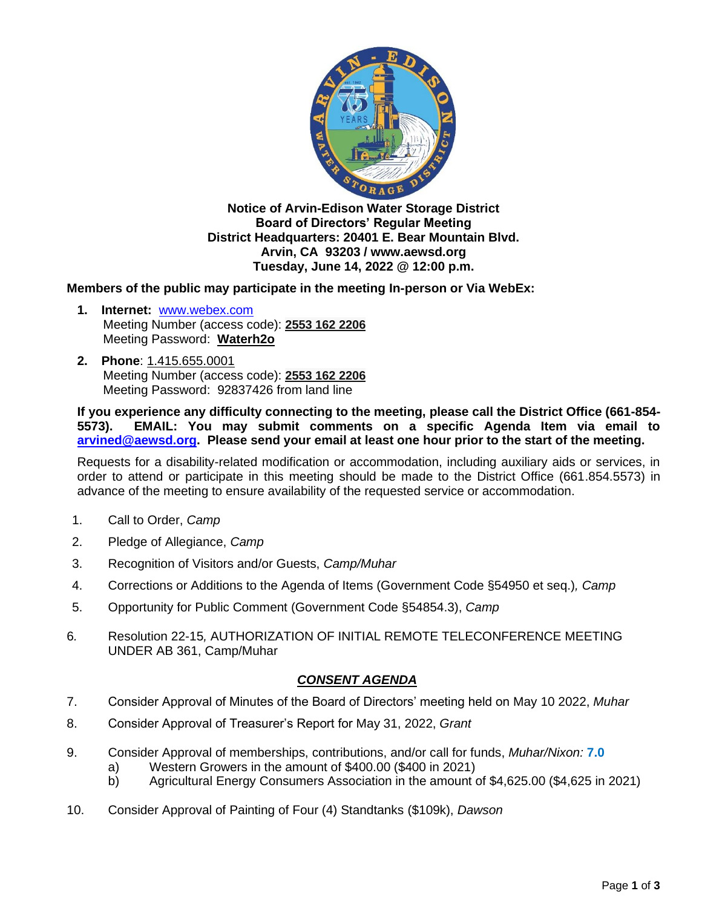

**Notice of Arvin-Edison Water Storage District Board of Directors' Regular Meeting District Headquarters: 20401 E. Bear Mountain Blvd. Arvin, CA 93203 / www.aewsd.org Tuesday, June 14, 2022 @ 12:00 p.m.**

**Members of the public may participate in the meeting In-person or Via WebEx:**

- **1. Internet:** [www.webex.com](http://www.webex.com/) Meeting Number (access code): **2553 162 2206** Meeting Password: **Waterh2o**
- **2. Phone**: 1.415.655.0001 Meeting Number (access code): **2553 162 2206** Meeting Password: 92837426 from land line

**If you experience any difficulty connecting to the meeting, please call the District Office (661-854- 5573). EMAIL: You may submit comments on a specific Agenda Item via email to [arvined@aewsd.org.](mailto:arvined@aewsd.org) Please send your email at least one hour prior to the start of the meeting.**

Requests for a disability-related modification or accommodation, including auxiliary aids or services, in order to attend or participate in this meeting should be made to the District Office (661.854.5573) in advance of the meeting to ensure availability of the requested service or accommodation.

- 1. Call to Order, *Camp*
- 2. Pledge of Allegiance, *Camp*
- 3. Recognition of Visitors and/or Guests, *Camp/Muhar*
- 4. Corrections or Additions to the Agenda of Items (Government Code §54950 et seq.)*, Camp*
- 5. Opportunity for Public Comment (Government Code §54854.3), *Camp*
- 6*.* Resolution 22-15*,* AUTHORIZATION OF INITIAL REMOTE TELECONFERENCE MEETING UNDER AB 361, Camp/Muhar

## *CONSENT AGENDA*

- 7. Consider Approval of Minutes of the Board of Directors' meeting held on May 10 2022, *Muhar*
- 8. Consider Approval of Treasurer's Report for May 31, 2022, *Grant*
- 9. Consider Approval of memberships, contributions, and/or call for funds, *Muhar/Nixon:* **7.0**
	- a) Western Growers in the amount of \$400.00 (\$400 in 2021)
	- b) Agricultural Energy Consumers Association in the amount of \$4,625.00 (\$4,625 in 2021)
- 10. Consider Approval of Painting of Four (4) Standtanks (\$109k), *Dawson*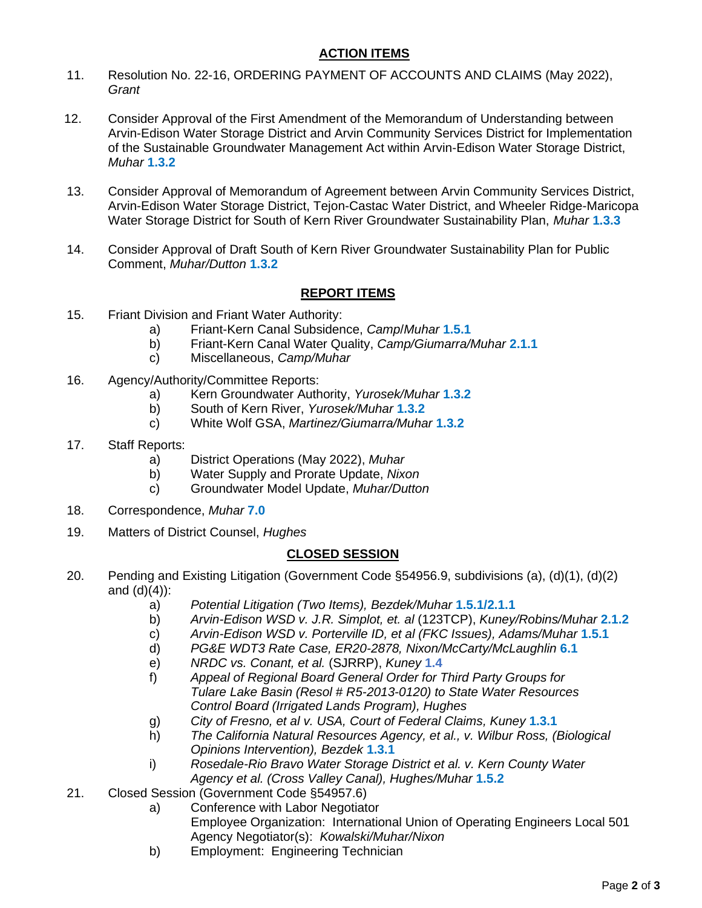## **ACTION ITEMS**

- 11. Resolution No. 22-16, ORDERING PAYMENT OF ACCOUNTS AND CLAIMS (May 2022), *Grant*
- 12. Consider Approval of the First Amendment of the Memorandum of Understanding between Arvin-Edison Water Storage District and Arvin Community Services District for Implementation of the Sustainable Groundwater Management Act within Arvin-Edison Water Storage District, *Muhar* **1.3.2**
- 13. Consider Approval of Memorandum of Agreement between Arvin Community Services District, Arvin-Edison Water Storage District, Tejon-Castac Water District, and Wheeler Ridge-Maricopa Water Storage District for South of Kern River Groundwater Sustainability Plan, *Muhar* **1.3.3**
- 14. Consider Approval of Draft South of Kern River Groundwater Sustainability Plan for Public Comment, *Muhar/Dutton* **1.3.2**

## **REPORT ITEMS**

- 15. Friant Division and Friant Water Authority:
	- a) Friant-Kern Canal Subsidence, *Camp*/*Muhar* **1.5.1**
	- b) Friant-Kern Canal Water Quality, *Camp/Giumarra/Muhar* **2.1.1**
	- c) Miscellaneous, *Camp/Muhar*
- 16. Agency/Authority/Committee Reports:
	- a) Kern Groundwater Authority, *Yurosek/Muhar* **1.3.2**
	- b) South of Kern River, *Yurosek/Muhar* **1.3.2**
	- c) White Wolf GSA, *Martinez/Giumarra/Muhar* **1.3.2**
- 17. Staff Reports:
	- a) District Operations (May 2022), *Muhar*
	- b) Water Supply and Prorate Update, *Nixon*
	- c) Groundwater Model Update, *Muhar/Dutton*
- 18. Correspondence, *Muhar* **7.0**
- 19. Matters of District Counsel, *Hughes*

## **CLOSED SESSION**

- 20. Pending and Existing Litigation (Government Code §54956.9, subdivisions (a), (d)(1), (d)(2) and  $(d)(4)$ :
	- a) *Potential Litigation (Two Items), Bezdek/Muhar* **1.5.1/2.1.1**
	- b) *Arvin-Edison WSD v. J.R. Simplot, et. al* (123TCP), *Kuney/Robins/Muhar* **2.1.2**
	- c) *Arvin-Edison WSD v. Porterville ID, et al (FKC Issues), Adams/Muhar* **1.5.1**
	- d) *PG&E WDT3 Rate Case, ER20-2878, Nixon/McCarty/McLaughlin* **6.1**
	- e) *NRDC vs. Conant, et al.* (SJRRP), *Kuney* **1.4**
	- f) *Appeal of Regional Board General Order for Third Party Groups for Tulare Lake Basin (Resol # R5-2013-0120) to State Water Resources Control Board (Irrigated Lands Program), Hughes*
	- g) *City of Fresno, et al v. USA, Court of Federal Claims, Kuney* **1.3.1**
	- h) *The California Natural Resources Agency, et al., v. Wilbur Ross, (Biological Opinions Intervention), Bezdek* **1.3.1**
	- i) *Rosedale-Rio Bravo Water Storage District et al. v. Kern County Water Agency et al. (Cross Valley Canal), Hughes/Muhar* **1.5.2**
- 21. Closed Session (Government Code §54957.6)
	- a) Conference with Labor Negotiator Employee Organization: International Union of Operating Engineers Local 501 Agency Negotiator(s): *Kowalski/Muhar/Nixon*
	- b) Employment: Engineering Technician